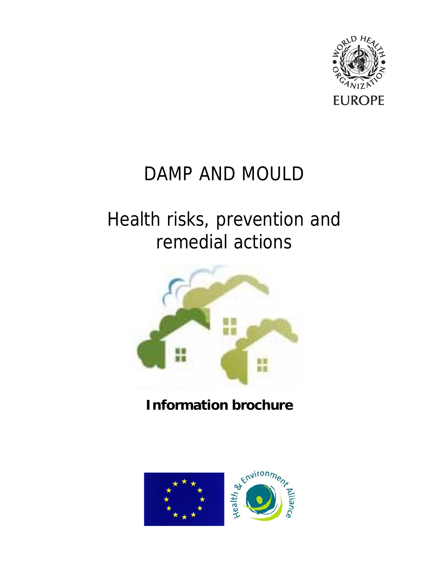

## DAMP AND MOULD

# Health risks, prevention and remedial actions



## **Information brochure**

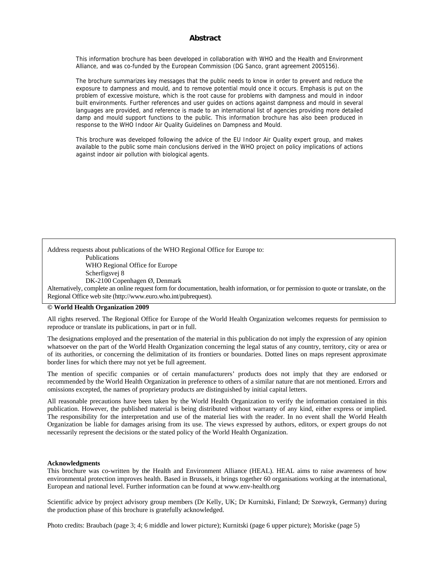#### **Abstract**

This information brochure has been developed in collaboration with WHO and the Health and Environment Alliance, and was co-funded by the European Commission (DG Sanco, grant agreement 2005156).

The brochure summarizes key messages that the public needs to know in order to prevent and reduce the exposure to dampness and mould, and to remove potential mould once it occurs. Emphasis is put on the problem of excessive moisture, which is the root cause for problems with dampness and mould in indoor built environments. Further references and user guides on actions against dampness and mould in several languages are provided, and reference is made to an international list of agencies providing more detailed damp and mould support functions to the public. This information brochure has also been produced in response to the WHO Indoor Air Quality Guidelines on Dampness and Mould.

This brochure was developed following the advice of the EU Indoor Air Quality expert group, and makes available to the public some main conclusions derived in the WHO project on policy implications of actions against indoor air pollution with biological agents.

Address requests about publications of the WHO Regional Office for Europe to: Publications WHO Regional Office for Europe Scherfigsvej 8 DK-2100 Copenhagen Ø, Denmark

Alternatively, complete an online request form for documentation, health information, or for permission to quote or translate, on the Regional Office web site (http://www.euro.who.int/pubrequest).

#### **© World Health Organization 2009**

All rights reserved. The Regional Office for Europe of the World Health Organization welcomes requests for permission to reproduce or translate its publications, in part or in full.

The designations employed and the presentation of the material in this publication do not imply the expression of any opinion whatsoever on the part of the World Health Organization concerning the legal status of any country, territory, city or area or of its authorities, or concerning the delimitation of its frontiers or boundaries. Dotted lines on maps represent approximate border lines for which there may not yet be full agreement.

The mention of specific companies or of certain manufacturers' products does not imply that they are endorsed or recommended by the World Health Organization in preference to others of a similar nature that are not mentioned. Errors and omissions excepted, the names of proprietary products are distinguished by initial capital letters.

All reasonable precautions have been taken by the World Health Organization to verify the information contained in this publication. However, the published material is being distributed without warranty of any kind, either express or implied. The responsibility for the interpretation and use of the material lies with the reader. In no event shall the World Health Organization be liable for damages arising from its use. The views expressed by authors, editors, or expert groups do not necessarily represent the decisions or the stated policy of the World Health Organization.

#### **Acknowledgments**

This brochure was co-written by the Health and Environment Alliance (HEAL). HEAL aims to raise awareness of how environmental protection improves health. Based in Brussels, it brings together 60 organisations working at the international, European and national level. Further information can be found at www.env-health.org

Scientific advice by project advisory group members (Dr Kelly, UK; Dr Kurnitski, Finland; Dr Szewzyk, Germany) during the production phase of this brochure is gratefully acknowledged.

Photo credits: Braubach (page 3; 4; 6 middle and lower picture); Kurnitski (page 6 upper picture); Moriske (page 5)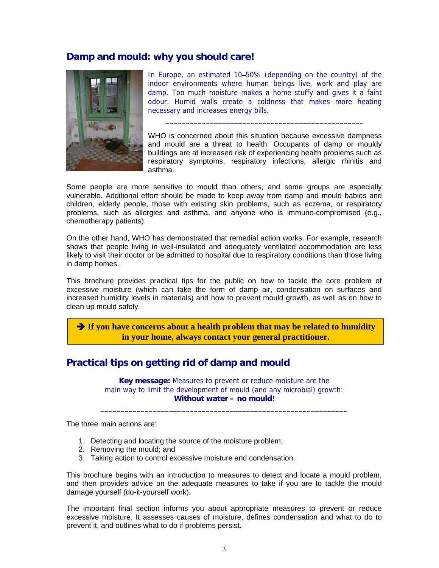## **Damp and mould: why you should care!**



In Europe, an estimated 10–50% (depending on the country) of the indoor environments where human beings live, work and play are damp. Too much moisture makes a home stuffy and gives it a faint odour. Humid walls create a coldness that makes more heating necessary and increases energy bills.

\_\_\_\_\_\_\_\_\_\_\_\_\_\_\_\_\_\_\_\_\_\_\_\_\_\_\_\_\_\_\_\_\_\_\_\_\_\_\_\_\_\_\_\_\_\_\_\_\_

WHO is concerned about this situation because excessive dampness and mould are a threat to health. Occupants of damp or mouldy buildings are at increased risk of experiencing health problems such as respiratory symptoms, respiratory infections, allergic rhinitis and asthma.

Some people are more sensitive to mould than others, and some groups are especially vulnerable. Additional effort should be made to keep away from damp and mould babies and children, elderly people, those with existing skin problems, such as eczema, or respiratory problems, such as allergies and asthma, and anyone who is immuno-compromised (e.g., chemotherapy patients).

On the other hand, WHO has demonstrated that remedial action works. For example, research shows that people living in well-insulated and adequately ventilated accommodation are less likely to visit their doctor or be admitted to hospital due to respiratory conditions than those living in damp homes.

This brochure provides practical tips for the public on how to tackle the core problem of excessive moisture (which can take the form of damp air, condensation on surfaces and increased humidity levels in materials) and how to prevent mould growth, as well as on how to clean up mould safely.

 $\rightarrow$  **If you have concerns about a health problem that may be related to humidity in your home, always contact your general practitioner.** 

## **Practical tips on getting rid of damp and mould**

**Key message:** Measures to prevent or reduce moisture are the main way to limit the development of mould (and any microbial) growth: **Without water – no mould!**

\_\_\_\_\_\_\_\_\_\_\_\_\_\_\_\_\_\_\_\_\_\_\_\_\_\_\_\_\_\_\_\_\_\_\_\_\_\_\_\_\_\_\_\_\_\_\_\_\_\_\_\_\_\_\_\_\_\_\_\_\_

The three main actions are:

- 1. Detecting and locating the source of the moisture problem;
- 2. Removing the mould; and
- 3. Taking action to control excessive moisture and condensation.

This brochure begins with an introduction to measures to detect and locate a mould problem, and then provides advice on the adequate measures to take if you are to tackle the mould damage yourself (do-it-yourself work).

The important final section informs you about appropriate measures to prevent or reduce excessive moisture. It assesses causes of moisture, defines condensation and what to do to prevent it, and outlines what to do if problems persist.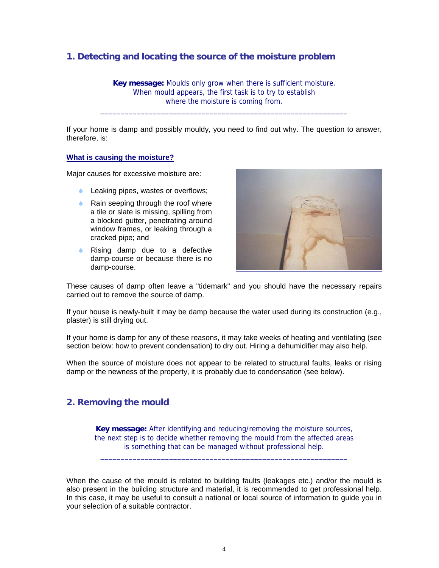## **1. Detecting and locating the source of the moisture problem**

**Key message:** Moulds only grow when there is sufficient moisture. When mould appears, the first task is to try to establish where the moisture is coming from.

\_\_\_\_\_\_\_\_\_\_\_\_\_\_\_\_\_\_\_\_\_\_\_\_\_\_\_\_\_\_\_\_\_\_\_\_\_\_\_\_\_\_\_\_\_\_\_\_\_\_\_\_\_\_\_\_\_\_\_\_\_

If your home is damp and possibly mouldy, you need to find out why. The question to answer, therefore, is:

#### **What is causing the moisture?**

Major causes for excessive moisture are:

- **6** Leaking pipes, wastes or overflows;
- **6** Rain seeping through the roof where a tile or slate is missing, spilling from a blocked gutter, penetrating around window frames, or leaking through a cracked pipe; and
- Rising damp due to a defective damp-course or because there is no damp-course.



These causes of damp often leave a "tidemark" and you should have the necessary repairs carried out to remove the source of damp.

If your house is newly-built it may be damp because the water used during its construction (e.g., plaster) is still drying out.

If your home is damp for any of these reasons, it may take weeks of heating and ventilating (see section below: how to prevent condensation) to dry out. Hiring a dehumidifier may also help.

When the source of moisture does not appear to be related to structural faults, leaks or rising damp or the newness of the property, it is probably due to condensation (see below).

## **2. Removing the mould**

**Key message:** After identifying and reducing/removing the moisture sources, the next step is to decide whether removing the mould from the affected areas is something that can be managed without professional help.

\_\_\_\_\_\_\_\_\_\_\_\_\_\_\_\_\_\_\_\_\_\_\_\_\_\_\_\_\_\_\_\_\_\_\_\_\_\_\_\_\_\_\_\_\_\_\_\_\_\_\_\_\_\_\_\_\_\_\_\_\_

When the cause of the mould is related to building faults (leakages etc.) and/or the mould is also present in the building structure and material, it is recommended to get professional help. In this case, it may be useful to consult a national or local source of information to guide you in your selection of a suitable contractor.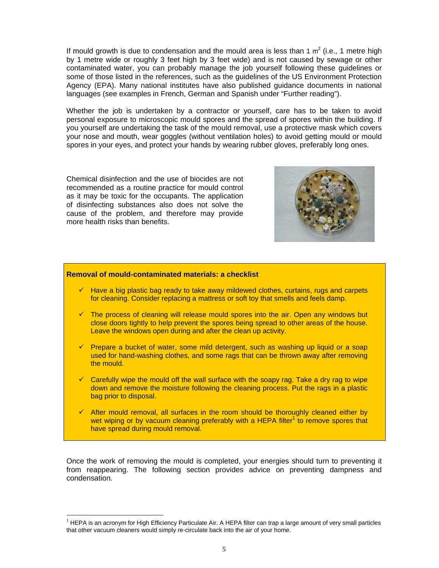If mould growth is due to condensation and the mould area is less than 1  $m<sup>2</sup>$  (i.e., 1 metre high by 1 metre wide or roughly 3 feet high by 3 feet wide) and is not caused by sewage or other contaminated water, you can probably manage the job yourself following these guidelines or some of those listed in the references, such as the guidelines of the US Environment Protection Agency (EPA). Many national institutes have also published guidance documents in national languages (see examples in French, German and Spanish under "Further reading").

Whether the job is undertaken by a contractor or yourself, care has to be taken to avoid personal exposure to microscopic mould spores and the spread of spores within the building. If you yourself are undertaking the task of the mould removal, use a protective mask which covers your nose and mouth, wear goggles (without ventilation holes) to avoid getting mould or mould spores in your eyes, and protect your hands by wearing rubber gloves, preferably long ones.

Chemical disinfection and the use of biocides are not recommended as a routine practice for mould control as it may be toxic for the occupants. The application of disinfecting substances also does not solve the cause of the problem, and therefore may provide more health risks than benefits.



## **Removal of mould-contaminated materials: a checklist**

l

- $\checkmark$  Have a big plastic bag ready to take away mildewed clothes, curtains, rugs and carpets for cleaning. Consider replacing a mattress or soft toy that smells and feels damp.
- $\checkmark$  The process of cleaning will release mould spores into the air. Open any windows but close doors tightly to help prevent the spores being spread to other areas of the house. Leave the windows open during and after the clean up activity.
- $\checkmark$  Prepare a bucket of water, some mild detergent, such as washing up liquid or a soap used for hand-washing clothes, and some rags that can be thrown away after removing the mould.
- $\checkmark$  Carefully wipe the mould off the wall surface with the soapy rag. Take a dry rag to wipe down and remove the moisture following the cleaning process. Put the rags in a plastic bag prior to disposal.
- $\checkmark$  After mould removal, all surfaces in the room should be thoroughly cleaned either by wet wiping or by vacuum cleaning preferably with a HEPA filter<sup>1</sup> to remove spores that have spread during mould removal.

Once the work of removing the mould is completed, your energies should turn to preventing it from reappearing. The following section provides advice on preventing dampness and condensation.

 $<sup>1</sup>$  HEPA is an acronym for High Efficiency Particulate Air. A HEPA filter can trap a large amount of very small particles</sup> that other vacuum cleaners would simply re-circulate back into the air of your home.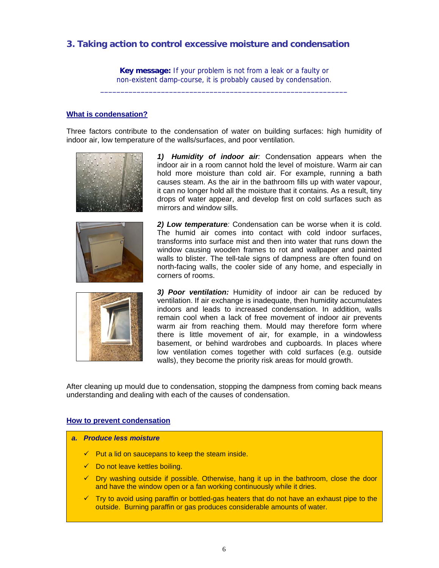## **3. Taking action to control excessive moisture and condensation**

**Key message:** If your problem is not from a leak or a faulty or non-existent damp-course, it is probably caused by condensation. \_\_\_\_\_\_\_\_\_\_\_\_\_\_\_\_\_\_\_\_\_\_\_\_\_\_\_\_\_\_\_\_\_\_\_\_\_\_\_\_\_\_\_\_\_\_\_\_\_\_\_\_\_\_\_\_\_\_\_\_\_

### **What is condensation?**

Three factors contribute to the condensation of water on building surfaces: high humidity of indoor air, low temperature of the walls/surfaces, and poor ventilation.







*1) Humidity of indoor air:* Condensation appears when the indoor air in a room cannot hold the level of moisture. Warm air can hold more moisture than cold air. For example, running a bath causes steam. As the air in the bathroom fills up with water vapour, it can no longer hold all the moisture that it contains. As a result, tiny drops of water appear, and develop first on cold surfaces such as mirrors and window sills.

*2) Low temperature:* Condensation can be worse when it is cold. The humid air comes into contact with cold indoor surfaces, transforms into surface mist and then into water that runs down the window causing wooden frames to rot and wallpaper and painted walls to blister. The tell-tale signs of dampness are often found on north-facing walls, the cooler side of any home, and especially in corners of rooms.

*3) Poor ventilation:* Humidity of indoor air can be reduced by ventilation. If air exchange is inadequate, then humidity accumulates indoors and leads to increased condensation. In addition, walls remain cool when a lack of free movement of indoor air prevents warm air from reaching them. Mould may therefore form where there is little movement of air, for example, in a windowless basement, or behind wardrobes and cupboards. In places where low ventilation comes together with cold surfaces (e.g. outside walls), they become the priority risk areas for mould growth.

After cleaning up mould due to condensation, stopping the dampness from coming back means understanding and dealing with each of the causes of condensation.

#### **How to prevent condensation**

## *a. Produce less moisture*

- $\checkmark$  Put a lid on saucepans to keep the steam inside.
- $\checkmark$  Do not leave kettles boiling.
- $\checkmark$  Dry washing outside if possible. Otherwise, hang it up in the bathroom, close the door and have the window open or a fan working continuously while it dries.
- $\checkmark$  Try to avoid using paraffin or bottled-gas heaters that do not have an exhaust pipe to the outside. Burning paraffin or gas produces considerable amounts of water.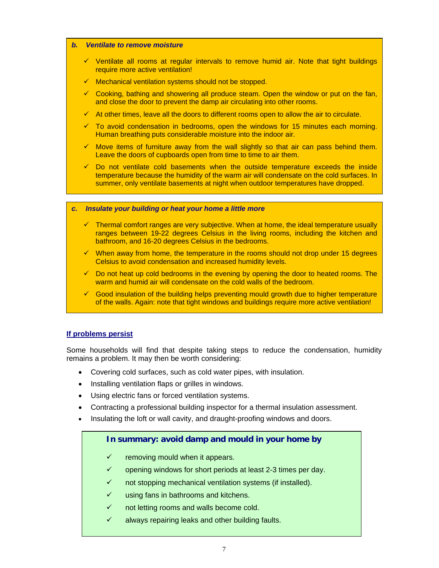

## **If problems persist**

Some households will find that despite taking steps to reduce the condensation, humidity remains a problem. It may then be worth considering:

- Covering cold surfaces, such as cold water pipes, with insulation.
- Installing ventilation flaps or grilles in windows.
- Using electric fans or forced ventilation systems.
- Contracting a professional building inspector for a thermal insulation assessment.
- Insulating the loft or wall cavity, and draught-proofing windows and doors.

## **In summary: avoid damp and mould in your home by**

- $\checkmark$  removing mould when it appears.
- $\checkmark$  opening windows for short periods at least 2-3 times per day.
- $\checkmark$  not stopping mechanical ventilation systems (if installed).
- $\checkmark$  using fans in bathrooms and kitchens.
- $\checkmark$  not letting rooms and walls become cold.
- $\checkmark$  always repairing leaks and other building faults.